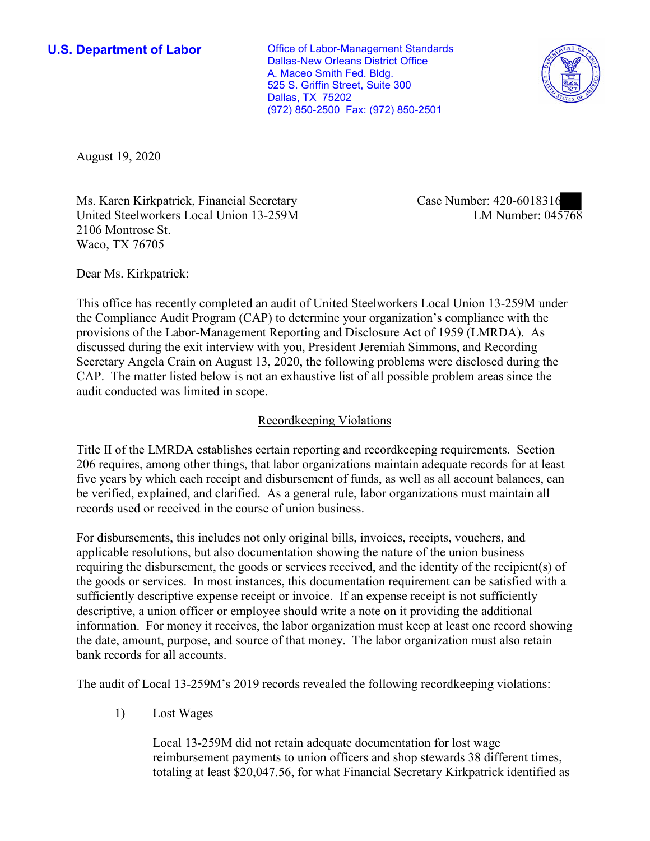**U.S. Department of Labor Conservative Conservative Conservative Conservative Conservative Conservative Conservative Conservative Conservative Conservative Conservative Conservative Conservative Conservative Conservative** Dallas-New Orleans District Office A. Maceo Smith Fed. Bldg. 525 S. Griffin Street, Suite 300 Dallas, TX 75202 (972) 850-2500 Fax: (972) 850-2501



August 19, 2020

Ms. Karen Kirkpatrick, Financial Secretary United Steelworkers Local Union 13-259M 2106 Montrose St. Waco, TX 76705

Case Number: 420-6018316<br>LM Number: 045768

Dear Ms. Kirkpatrick:

 This office has recently completed an audit of United Steelworkers Local Union 13-259M under the Compliance Audit Program (CAP) to determine your organization's compliance with the provisions of the Labor-Management Reporting and Disclosure Act of 1959 (LMRDA). As discussed during the exit interview with you, President Jeremiah Simmons, and Recording Secretary Angela Crain on August 13, 2020, the following problems were disclosed during the CAP. The matter listed below is not an exhaustive list of all possible problem areas since the audit conducted was limited in scope.

## Recordkeeping Violations

 Title II of the LMRDA establishes certain reporting and recordkeeping requirements. Section 206 requires, among other things, that labor organizations maintain adequate records for at least five years by which each receipt and disbursement of funds, as well as all account balances, can be verified, explained, and clarified. As a general rule, labor organizations must maintain all records used or received in the course of union business.

For disbursements, this includes not only original bills, invoices, receipts, vouchers, and applicable resolutions, but also documentation showing the nature of the union business requiring the disbursement, the goods or services received, and the identity of the recipient(s) of the goods or services. In most instances, this documentation requirement can be satisfied with a sufficiently descriptive expense receipt or invoice. If an expense receipt is not sufficiently descriptive, a union officer or employee should write a note on it providing the additional information. For money it receives, the labor organization must keep at least one record showing the date, amount, purpose, and source of that money. The labor organization must also retain bank records for all accounts.

The audit of Local 13-259M's 2019 records revealed the following recordkeeping violations:

1) Lost Wages

Local 13-259M did not retain adequate documentation for lost wage reimbursement payments to union officers and shop stewards 38 different times, totaling at least [\\$20,047.56](https://20,047.56), for what Financial Secretary Kirkpatrick identified as